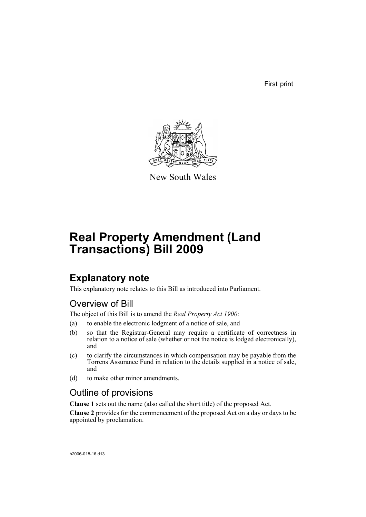First print



New South Wales

# **Real Property Amendment (Land Transactions) Bill 2009**

# **Explanatory note**

This explanatory note relates to this Bill as introduced into Parliament.

## Overview of Bill

The object of this Bill is to amend the *Real Property Act 1900*:

- (a) to enable the electronic lodgment of a notice of sale, and
- (b) so that the Registrar-General may require a certificate of correctness in relation to a notice of sale (whether or not the notice is lodged electronically), and
- (c) to clarify the circumstances in which compensation may be payable from the Torrens Assurance Fund in relation to the details supplied in a notice of sale, and
- (d) to make other minor amendments.

## Outline of provisions

**Clause 1** sets out the name (also called the short title) of the proposed Act.

**Clause 2** provides for the commencement of the proposed Act on a day or days to be appointed by proclamation.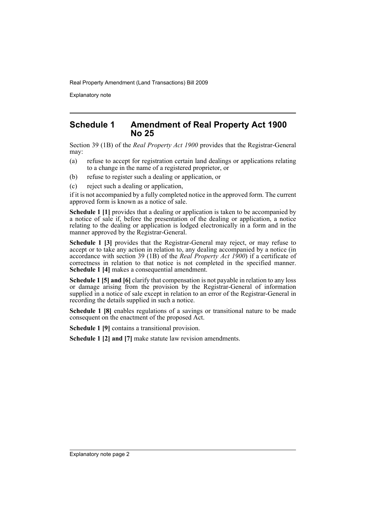Explanatory note

### **Schedule 1 Amendment of Real Property Act 1900 No 25**

Section 39 (1B) of the *Real Property Act 1900* provides that the Registrar-General may:

- (a) refuse to accept for registration certain land dealings or applications relating to a change in the name of a registered proprietor, or
- (b) refuse to register such a dealing or application, or
- (c) reject such a dealing or application,

if it is not accompanied by a fully completed notice in the approved form. The current approved form is known as a notice of sale.

**Schedule 1 [1]** provides that a dealing or application is taken to be accompanied by a notice of sale if, before the presentation of the dealing or application, a notice relating to the dealing or application is lodged electronically in a form and in the manner approved by the Registrar-General.

**Schedule 1 [3]** provides that the Registrar-General may reject, or may refuse to accept or to take any action in relation to, any dealing accompanied by a notice (in accordance with section 39 (1B) of the *Real Property Act 1900*) if a certificate of correctness in relation to that notice is not completed in the specified manner. **Schedule 1 [4]** makes a consequential amendment.

**Schedule 1 [5] and [6]** clarify that compensation is not payable in relation to any loss or damage arising from the provision by the Registrar-General of information supplied in a notice of sale except in relation to an error of the Registrar-General in recording the details supplied in such a notice.

**Schedule 1 [8]** enables regulations of a savings or transitional nature to be made consequent on the enactment of the proposed Act.

**Schedule 1 [9]** contains a transitional provision.

**Schedule 1 [2] and [7]** make statute law revision amendments.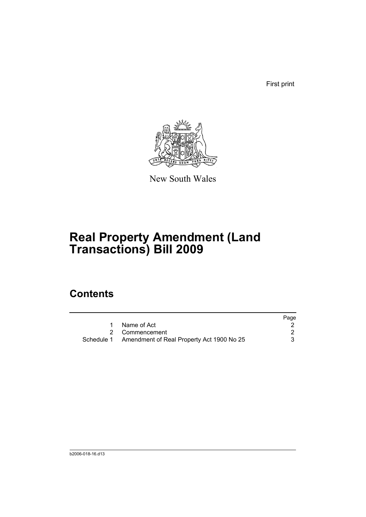First print



New South Wales

# **Real Property Amendment (Land Transactions) Bill 2009**

## **Contents**

|                                                      | Page |
|------------------------------------------------------|------|
| Name of Act                                          |      |
| 2 Commencement                                       |      |
| Schedule 1 Amendment of Real Property Act 1900 No 25 |      |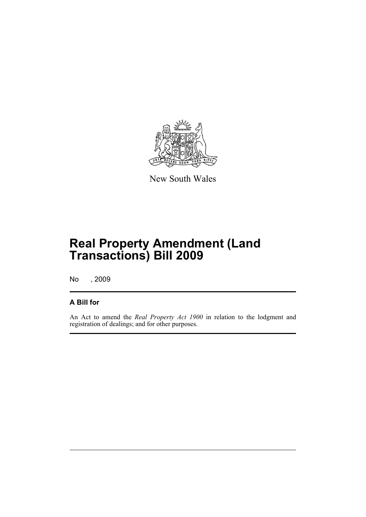

New South Wales

# **Real Property Amendment (Land Transactions) Bill 2009**

No , 2009

### **A Bill for**

An Act to amend the *Real Property Act 1900* in relation to the lodgment and registration of dealings; and for other purposes.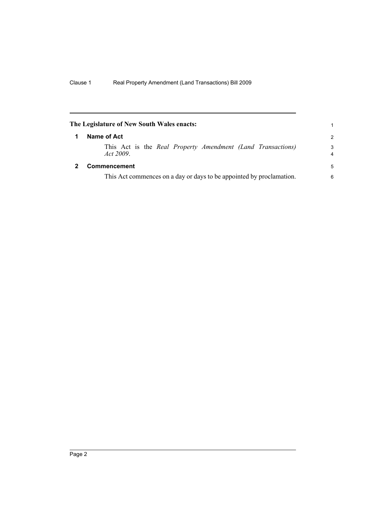<span id="page-5-1"></span><span id="page-5-0"></span>

| The Legislature of New South Wales enacts: |                                                                          |               |
|--------------------------------------------|--------------------------------------------------------------------------|---------------|
| 1                                          | Name of Act                                                              | $\mathcal{P}$ |
|                                            | This Act is the Real Property Amendment (Land Transactions)<br>Act 2009. | 3<br>4        |
|                                            | Commencement                                                             | 5             |
|                                            | This Act commences on a day or days to be appointed by proclamation.     |               |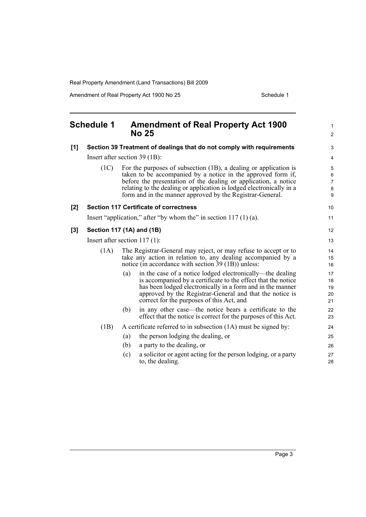Amendment of Real Property Act 1900 No 25 Schedule 1

<span id="page-6-0"></span>

| <b>Schedule 1</b> |                                 |     | <b>Amendment of Real Property Act 1900</b><br><b>No 25</b>                                                                                                                                                                                                                                                                               |                                                                         |
|-------------------|---------------------------------|-----|------------------------------------------------------------------------------------------------------------------------------------------------------------------------------------------------------------------------------------------------------------------------------------------------------------------------------------------|-------------------------------------------------------------------------|
| [1]               |                                 |     | Section 39 Treatment of dealings that do not comply with requirements                                                                                                                                                                                                                                                                    | 3                                                                       |
|                   | Insert after section 39 (1B):   |     |                                                                                                                                                                                                                                                                                                                                          |                                                                         |
|                   | (1C)                            |     | For the purposes of subsection (1B), a dealing or application is<br>taken to be accompanied by a notice in the approved form if,<br>before the presentation of the dealing or application, a notice<br>relating to the dealing or application is lodged electronically in a<br>form and in the manner approved by the Registrar-General. | $\mathbf 5$<br>$\,6\,$<br>$\overline{7}$<br>$\bf 8$<br>$\boldsymbol{9}$ |
| [2]               |                                 |     | <b>Section 117 Certificate of correctness</b>                                                                                                                                                                                                                                                                                            | 10                                                                      |
|                   |                                 |     | Insert "application," after "by whom the" in section $117(1)(a)$ .                                                                                                                                                                                                                                                                       | 11                                                                      |
| $[3]$             | Section 117 (1A) and (1B)       |     |                                                                                                                                                                                                                                                                                                                                          | 12                                                                      |
|                   | Insert after section $117(1)$ : |     |                                                                                                                                                                                                                                                                                                                                          | 13                                                                      |
|                   | (1A)                            |     | The Registrar-General may reject, or may refuse to accept or to<br>take any action in relation to, any dealing accompanied by a<br>notice (in accordance with section 39 (1B)) unless:                                                                                                                                                   | 14<br>15<br>16                                                          |
|                   |                                 | (a) | in the case of a notice lodged electronically—the dealing<br>is accompanied by a certificate to the effect that the notice<br>has been lodged electronically in a form and in the manner<br>approved by the Registrar-General and that the notice is<br>correct for the purposes of this Act, and                                        | 17<br>18<br>19<br>20<br>21                                              |
|                   |                                 | (b) | in any other case—the notice bears a certificate to the<br>effect that the notice is correct for the purposes of this Act.                                                                                                                                                                                                               | 22<br>23                                                                |
|                   | (1B)                            |     | A certificate referred to in subsection (1A) must be signed by:                                                                                                                                                                                                                                                                          | 24                                                                      |
|                   |                                 | (a) | the person lodging the dealing, or                                                                                                                                                                                                                                                                                                       | 25                                                                      |
|                   |                                 | (b) | a party to the dealing, or                                                                                                                                                                                                                                                                                                               | 26                                                                      |
|                   |                                 | (c) | a solicitor or agent acting for the person lodging, or a party<br>to, the dealing.                                                                                                                                                                                                                                                       | 27<br>28                                                                |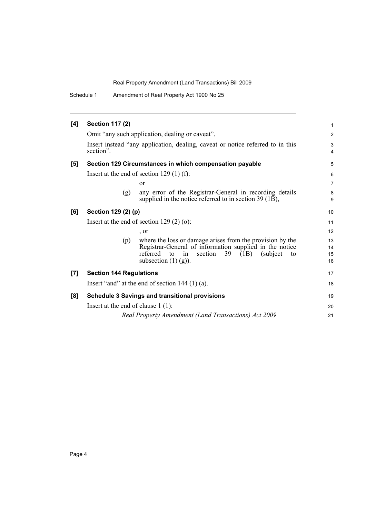Schedule 1 Amendment of Real Property Act 1900 No 25

| [4] | <b>Section 117 (2)</b>                                                                      |                                                                                                                                                                  | 1                    |  |
|-----|---------------------------------------------------------------------------------------------|------------------------------------------------------------------------------------------------------------------------------------------------------------------|----------------------|--|
|     | Omit "any such application, dealing or caveat".                                             |                                                                                                                                                                  |                      |  |
|     | Insert instead "any application, dealing, caveat or notice referred to in this<br>section". |                                                                                                                                                                  |                      |  |
| [5] | Section 129 Circumstances in which compensation payable                                     |                                                                                                                                                                  | 5                    |  |
|     | Insert at the end of section 129 $(1)$ (f):                                                 |                                                                                                                                                                  |                      |  |
|     | <sub>or</sub>                                                                               |                                                                                                                                                                  | $\overline{7}$       |  |
|     | (g)                                                                                         | any error of the Registrar-General in recording details<br>supplied in the notice referred to in section $39(1B)$ ,                                              | 8<br>9               |  |
| [6] | Section 129 (2) (p)<br>Insert at the end of section $129(2)(0)$ :                           |                                                                                                                                                                  | 10                   |  |
|     |                                                                                             |                                                                                                                                                                  | 11                   |  |
|     | , or                                                                                        |                                                                                                                                                                  | 12                   |  |
|     | (p)<br>referred to<br>in<br>subsection $(1)$ $(g)$ ).                                       | where the loss or damage arises from the provision by the<br>Registrar-General of information supplied in the notice<br>section<br>39<br>(subject)<br>(1B)<br>to | 13<br>14<br>15<br>16 |  |
| [7] | <b>Section 144 Regulations</b>                                                              |                                                                                                                                                                  | 17                   |  |
|     | Insert "and" at the end of section $144(1)(a)$ .                                            |                                                                                                                                                                  |                      |  |
| [8] | <b>Schedule 3 Savings and transitional provisions</b>                                       |                                                                                                                                                                  | 19                   |  |
|     | Insert at the end of clause $1(1)$ :                                                        |                                                                                                                                                                  | 20                   |  |
|     | Real Property Amendment (Land Transactions) Act 2009                                        |                                                                                                                                                                  | 21                   |  |